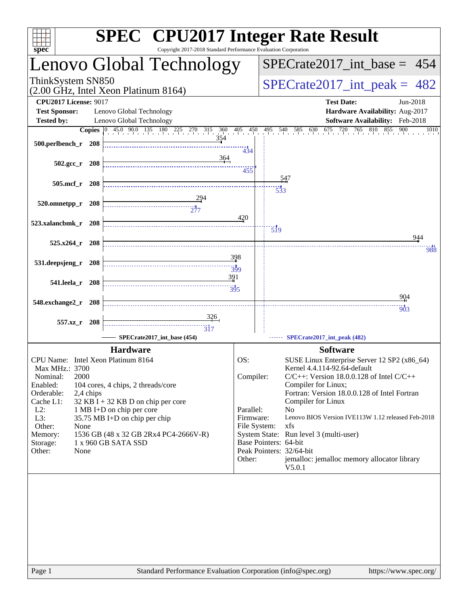| <b>SPEC<sup>®</sup></b> CPU2017 Integer Rate Result<br>Copyright 2017-2018 Standard Performance Evaluation Corporation<br>$spec^*$ |                                                                  |                           |                                                                                   |  |  |  |
|------------------------------------------------------------------------------------------------------------------------------------|------------------------------------------------------------------|---------------------------|-----------------------------------------------------------------------------------|--|--|--|
|                                                                                                                                    | Lenovo Global Technology                                         |                           | $SPECTate2017\_int\_base = 454$                                                   |  |  |  |
| ThinkSystem SN850                                                                                                                  | $(2.00 \text{ GHz}, \text{Intel Xeon Platinum } 8164)$           |                           | $SPECrate2017\_int\_peak = 482$                                                   |  |  |  |
| <b>CPU2017 License: 9017</b><br><b>Test Sponsor:</b>                                                                               | Lenovo Global Technology                                         |                           | <b>Test Date:</b><br>Jun-2018<br>Hardware Availability: Aug-2017                  |  |  |  |
| <b>Tested by:</b>                                                                                                                  | Lenovo Global Technology                                         |                           | Software Availability: Feb-2018<br>900<br>1010                                    |  |  |  |
| 500.perlbench_r 208                                                                                                                | <b>Copies</b> 0 45.0 90.0 135 180 225 270 315 360 405 450<br>354 | 434                       | $675$ $720$ $765$ $810$<br>855<br>$495$ $540$ $585$ $630$                         |  |  |  |
| $502.\text{gcc r}$ 208                                                                                                             | 364                                                              | 455                       |                                                                                   |  |  |  |
| $505$ .mcf_r<br>- 208                                                                                                              |                                                                  |                           | 547<br>$\overline{533}$                                                           |  |  |  |
| 520.omnetpp_r 208                                                                                                                  |                                                                  | 420                       |                                                                                   |  |  |  |
| 523.xalancbmk_r 208                                                                                                                |                                                                  |                           | $\overline{519}$<br>944                                                           |  |  |  |
| $525.x264$ r 208                                                                                                                   |                                                                  |                           | 988                                                                               |  |  |  |
| 531.deepsjeng_r<br><b>208</b>                                                                                                      |                                                                  | 398<br>$\frac{1}{399}$    |                                                                                   |  |  |  |
| 541.leela_r 208                                                                                                                    | 391                                                              | 395                       | 904                                                                               |  |  |  |
| 548.exchange2_r 208                                                                                                                |                                                                  |                           | 903                                                                               |  |  |  |
| 557.xz_r 208                                                                                                                       | <u>326</u><br>$\overline{317}$<br>SPECrate2017_int_base (454)    |                           | SPECrate2017_int_peak (482)                                                       |  |  |  |
|                                                                                                                                    | <b>Hardware</b>                                                  |                           | <b>Software</b>                                                                   |  |  |  |
| CPU Name: Intel Xeon Platinum 8164                                                                                                 |                                                                  | OS:                       | SUSE Linux Enterprise Server 12 SP2 (x86_64)                                      |  |  |  |
| Max MHz.: 3700                                                                                                                     |                                                                  |                           | Kernel 4.4.114-92.64-default                                                      |  |  |  |
| 2000<br>Nominal:                                                                                                                   |                                                                  | Compiler:                 | $C/C++$ : Version 18.0.0.128 of Intel $C/C++$                                     |  |  |  |
| Enabled:<br>Orderable:<br>2,4 chips                                                                                                | 104 cores, 4 chips, 2 threads/core                               |                           | Compiler for Linux;<br>Fortran: Version 18.0.0.128 of Intel Fortran               |  |  |  |
| Cache L1:                                                                                                                          | $32$ KB I + 32 KB D on chip per core                             |                           | Compiler for Linux                                                                |  |  |  |
| $L2$ :                                                                                                                             | 1 MB I+D on chip per core                                        | Parallel:                 | No                                                                                |  |  |  |
| L3:<br>Other:<br>None                                                                                                              | 35.75 MB I+D on chip per chip                                    | Firmware:<br>File System: | Lenovo BIOS Version IVE113W 1.12 released Feb-2018<br>xfs                         |  |  |  |
| Memory:                                                                                                                            | 1536 GB (48 x 32 GB 2Rx4 PC4-2666V-R)                            |                           | System State: Run level 3 (multi-user)                                            |  |  |  |
| Storage:                                                                                                                           | 1 x 960 GB SATA SSD                                              |                           | Base Pointers: 64-bit                                                             |  |  |  |
| Other:<br>None                                                                                                                     |                                                                  | Other:                    | Peak Pointers: 32/64-bit<br>jemalloc: jemalloc memory allocator library<br>V5.0.1 |  |  |  |
|                                                                                                                                    |                                                                  |                           |                                                                                   |  |  |  |
|                                                                                                                                    |                                                                  |                           |                                                                                   |  |  |  |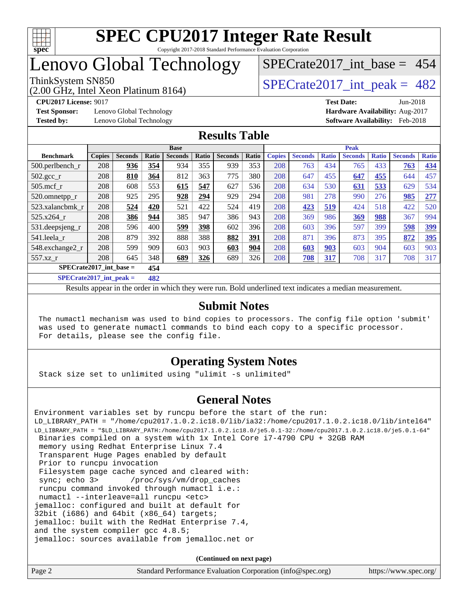

### Lenovo Global Technology

(2.00 GHz, Intel Xeon Platinum 8164)

**[Test Sponsor:](http://www.spec.org/auto/cpu2017/Docs/result-fields.html#TestSponsor)** Lenovo Global Technology **[Hardware Availability:](http://www.spec.org/auto/cpu2017/Docs/result-fields.html#HardwareAvailability)** Aug-2017

[SPECrate2017\\_int\\_base =](http://www.spec.org/auto/cpu2017/Docs/result-fields.html#SPECrate2017intbase) 454

ThinkSystem SN850<br>  $(2.00 \text{ GHz. Intel Yoon Plotinum } 8164)$  [SPECrate2017\\_int\\_peak =](http://www.spec.org/auto/cpu2017/Docs/result-fields.html#SPECrate2017intpeak) 482

**[CPU2017 License:](http://www.spec.org/auto/cpu2017/Docs/result-fields.html#CPU2017License)** 9017 **[Test Date:](http://www.spec.org/auto/cpu2017/Docs/result-fields.html#TestDate)** Jun-2018 **[Tested by:](http://www.spec.org/auto/cpu2017/Docs/result-fields.html#Testedby)** Lenovo Global Technology **[Software Availability:](http://www.spec.org/auto/cpu2017/Docs/result-fields.html#SoftwareAvailability)** Feb-2018

#### **[Results Table](http://www.spec.org/auto/cpu2017/Docs/result-fields.html#ResultsTable)**

|                                    | <b>Base</b>   |                |            |                | <b>Peak</b> |                |       |               |                |              |                |              |                |              |
|------------------------------------|---------------|----------------|------------|----------------|-------------|----------------|-------|---------------|----------------|--------------|----------------|--------------|----------------|--------------|
| <b>Benchmark</b>                   | <b>Copies</b> | <b>Seconds</b> | Ratio      | <b>Seconds</b> | Ratio       | <b>Seconds</b> | Ratio | <b>Copies</b> | <b>Seconds</b> | <b>Ratio</b> | <b>Seconds</b> | <b>Ratio</b> | <b>Seconds</b> | <b>Ratio</b> |
| $500.$ perlbench_r                 | 208           | 936            | 354        | 934            | 355         | 939            | 353   | 208           | 763            | 434          | 765            | 433          | 763            | 434          |
| $502.\text{gcc\_r}$                | 208           | 810            | 364        | 812            | 363         | 775            | 380   | 208           | 647            | 455          | 647            | 455          | 644            | 457          |
| $505$ .mcf r                       | 208           | 608            | 553        | 615            | 547         | 627            | 536   | 208           | 634            | 530          | 631            | 533          | 629            | 534          |
| 520.omnetpp_r                      | 208           | 925            | 295        | 928            | 294         | 929            | 294   | 208           | 981            | 278          | 990            | 276          | 985            | 277          |
| 523.xalancbmk_r                    | 208           | 524            | 420        | 521            | 422         | 524            | 419   | 208           | 423            | 519          | 424            | 518          | 422            | 520          |
| 525.x264 r                         | 208           | 386            | 944        | 385            | 947         | 386            | 943   | 208           | 369            | 986          | 369            | 988          | 367            | 994          |
| 531.deepsjeng_r                    | 208           | 596            | 400        | 599            | 398         | 602            | 396   | 208           | 603            | 396          | 597            | 399          | 598            | <u>399</u>   |
| 541.leela r                        | 208           | 879            | 392        | 888            | 388         | 882            | 391   | 208           | 871            | 396          | 873            | 395          | 872            | <u>395</u>   |
| 548.exchange2_r                    | 208           | 599            | 909        | 603            | 903         | 603            | 904   | 208           | 603            | 903          | 603            | 904          | 603            | 903          |
| 557.xz r                           | 208           | 645            | 348        | 689            | 326         | 689            | 326   | 208           | 708            | 317          | 708            | 317          | 708            | 317          |
| $SPECrate2017\_int\_base =$<br>454 |               |                |            |                |             |                |       |               |                |              |                |              |                |              |
| $CDDCD = 1.4047 + 1.1$             |               |                | $\sqrt{2}$ |                |             |                |       |               |                |              |                |              |                |              |

**[SPECrate2017\\_int\\_peak =](http://www.spec.org/auto/cpu2017/Docs/result-fields.html#SPECrate2017intpeak) 482**

Results appear in the [order in which they were run](http://www.spec.org/auto/cpu2017/Docs/result-fields.html#RunOrder). Bold underlined text [indicates a median measurement](http://www.spec.org/auto/cpu2017/Docs/result-fields.html#Median).

#### **[Submit Notes](http://www.spec.org/auto/cpu2017/Docs/result-fields.html#SubmitNotes)**

 The numactl mechanism was used to bind copies to processors. The config file option 'submit' was used to generate numactl commands to bind each copy to a specific processor. For details, please see the config file.

#### **[Operating System Notes](http://www.spec.org/auto/cpu2017/Docs/result-fields.html#OperatingSystemNotes)**

Stack size set to unlimited using "ulimit -s unlimited"

#### **[General Notes](http://www.spec.org/auto/cpu2017/Docs/result-fields.html#GeneralNotes)**

Environment variables set by runcpu before the start of the run: LD\_LIBRARY\_PATH = "/home/cpu2017.1.0.2.ic18.0/lib/ia32:/home/cpu2017.1.0.2.ic18.0/lib/intel64" LD\_LIBRARY\_PATH = "\$LD\_LIBRARY\_PATH:/home/cpu2017.1.0.2.ic18.0/je5.0.1-32:/home/cpu2017.1.0.2.ic18.0/je5.0.1-64" Binaries compiled on a system with 1x Intel Core i7-4790 CPU + 32GB RAM memory using Redhat Enterprise Linux 7.4 Transparent Huge Pages enabled by default Prior to runcpu invocation Filesystem page cache synced and cleared with: sync; echo 3> /proc/sys/vm/drop\_caches runcpu command invoked through numactl i.e.: numactl --interleave=all runcpu <etc> jemalloc: configured and built at default for 32bit (i686) and 64bit (x86\_64) targets; jemalloc: built with the RedHat Enterprise 7.4, and the system compiler gcc 4.8.5; jemalloc: sources available from jemalloc.net or

**(Continued on next page)**

| Page 2 | Standard Performance Evaluation Corporation (info@spec.org) | https://www.spec.org/ |
|--------|-------------------------------------------------------------|-----------------------|
|        |                                                             |                       |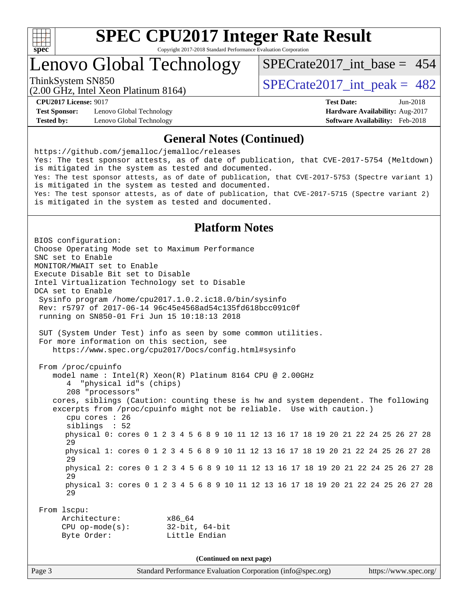

### Lenovo Global Technology

[SPECrate2017\\_int\\_base =](http://www.spec.org/auto/cpu2017/Docs/result-fields.html#SPECrate2017intbase) 454

(2.00 GHz, Intel Xeon Platinum 8164) ThinkSystem SN850<br>  $(2.00 \text{ GHz. Intel Yoon Plotinum } 8164)$  [SPECrate2017\\_int\\_peak =](http://www.spec.org/auto/cpu2017/Docs/result-fields.html#SPECrate2017intpeak) 482

**[Test Sponsor:](http://www.spec.org/auto/cpu2017/Docs/result-fields.html#TestSponsor)** Lenovo Global Technology **[Hardware Availability:](http://www.spec.org/auto/cpu2017/Docs/result-fields.html#HardwareAvailability)** Aug-2017 **[Tested by:](http://www.spec.org/auto/cpu2017/Docs/result-fields.html#Testedby)** Lenovo Global Technology **[Software Availability:](http://www.spec.org/auto/cpu2017/Docs/result-fields.html#SoftwareAvailability)** Feb-2018

**[CPU2017 License:](http://www.spec.org/auto/cpu2017/Docs/result-fields.html#CPU2017License)** 9017 **[Test Date:](http://www.spec.org/auto/cpu2017/Docs/result-fields.html#TestDate)** Jun-2018

#### **[General Notes \(Continued\)](http://www.spec.org/auto/cpu2017/Docs/result-fields.html#GeneralNotes)**

<https://github.com/jemalloc/jemalloc/releases> Yes: The test sponsor attests, as of date of publication, that CVE-2017-5754 (Meltdown) is mitigated in the system as tested and documented. Yes: The test sponsor attests, as of date of publication, that CVE-2017-5753 (Spectre variant 1) is mitigated in the system as tested and documented. Yes: The test sponsor attests, as of date of publication, that CVE-2017-5715 (Spectre variant 2) is mitigated in the system as tested and documented.

#### **[Platform Notes](http://www.spec.org/auto/cpu2017/Docs/result-fields.html#PlatformNotes)**

Page 3 Standard Performance Evaluation Corporation [\(info@spec.org\)](mailto:info@spec.org) <https://www.spec.org/> BIOS configuration: Choose Operating Mode set to Maximum Performance SNC set to Enable MONITOR/MWAIT set to Enable Execute Disable Bit set to Disable Intel Virtualization Technology set to Disable DCA set to Enable Sysinfo program /home/cpu2017.1.0.2.ic18.0/bin/sysinfo Rev: r5797 of 2017-06-14 96c45e4568ad54c135fd618bcc091c0f running on SN850-01 Fri Jun 15 10:18:13 2018 SUT (System Under Test) info as seen by some common utilities. For more information on this section, see <https://www.spec.org/cpu2017/Docs/config.html#sysinfo> From /proc/cpuinfo model name : Intel(R) Xeon(R) Platinum 8164 CPU @ 2.00GHz 4 "physical id"s (chips) 208 "processors" cores, siblings (Caution: counting these is hw and system dependent. The following excerpts from /proc/cpuinfo might not be reliable. Use with caution.) cpu cores : 26 siblings : 52 physical 0: cores 0 1 2 3 4 5 6 8 9 10 11 12 13 16 17 18 19 20 21 22 24 25 26 27 28 29 physical 1: cores 0 1 2 3 4 5 6 8 9 10 11 12 13 16 17 18 19 20 21 22 24 25 26 27 28 29 physical 2: cores 0 1 2 3 4 5 6 8 9 10 11 12 13 16 17 18 19 20 21 22 24 25 26 27 28 29 physical 3: cores 0 1 2 3 4 5 6 8 9 10 11 12 13 16 17 18 19 20 21 22 24 25 26 27 28 29 From lscpu: Architecture: x86\_64 CPU op-mode(s): 32-bit, 64-bit Byte Order: Little Endian **(Continued on next page)**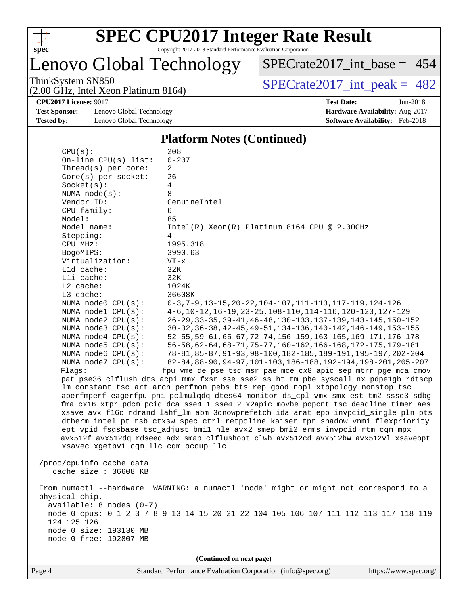

Lenovo Global Technology

[SPECrate2017\\_int\\_base =](http://www.spec.org/auto/cpu2017/Docs/result-fields.html#SPECrate2017intbase) 454

(2.00 GHz, Intel Xeon Platinum 8164)

ThinkSystem SN850<br>  $(2.00 \text{ GHz})$  Intel Xeon Platinum 8164) SPECrate 2017\_int\_peak = 482

**[Test Sponsor:](http://www.spec.org/auto/cpu2017/Docs/result-fields.html#TestSponsor)** Lenovo Global Technology **[Hardware Availability:](http://www.spec.org/auto/cpu2017/Docs/result-fields.html#HardwareAvailability)** Aug-2017 **[Tested by:](http://www.spec.org/auto/cpu2017/Docs/result-fields.html#Testedby)** Lenovo Global Technology **[Software Availability:](http://www.spec.org/auto/cpu2017/Docs/result-fields.html#SoftwareAvailability)** Feb-2018

**[CPU2017 License:](http://www.spec.org/auto/cpu2017/Docs/result-fields.html#CPU2017License)** 9017 **[Test Date:](http://www.spec.org/auto/cpu2017/Docs/result-fields.html#TestDate)** Jun-2018

#### **[Platform Notes \(Continued\)](http://www.spec.org/auto/cpu2017/Docs/result-fields.html#PlatformNotes)**

| 208<br>CPU(s):                                                                       |                                                                                      |  |  |  |  |  |
|--------------------------------------------------------------------------------------|--------------------------------------------------------------------------------------|--|--|--|--|--|
| $0 - 207$<br>On-line $CPU(s)$ list:                                                  |                                                                                      |  |  |  |  |  |
| Thread( $s$ ) per core:                                                              | 2                                                                                    |  |  |  |  |  |
| $Core(s)$ per socket:                                                                | 26                                                                                   |  |  |  |  |  |
| Socket(s):                                                                           | 4                                                                                    |  |  |  |  |  |
| NUMA $node(s):$                                                                      | 8                                                                                    |  |  |  |  |  |
| Vendor ID:                                                                           | GenuineIntel                                                                         |  |  |  |  |  |
| CPU family:                                                                          | 6                                                                                    |  |  |  |  |  |
| Model:                                                                               | 85                                                                                   |  |  |  |  |  |
| Model name:                                                                          | $Intel(R) Xeon(R) Platinum 8164 CPU @ 2.00GHz$                                       |  |  |  |  |  |
| Stepping:                                                                            | 4                                                                                    |  |  |  |  |  |
| CPU MHz:                                                                             | 1995.318                                                                             |  |  |  |  |  |
| BogoMIPS:                                                                            | 3990.63                                                                              |  |  |  |  |  |
| Virtualization:                                                                      | $VT - x$                                                                             |  |  |  |  |  |
| L1d cache:                                                                           | 32K                                                                                  |  |  |  |  |  |
| Lli cache:                                                                           | 32K                                                                                  |  |  |  |  |  |
| $L2$ cache:                                                                          | 1024K                                                                                |  |  |  |  |  |
| L3 cache:                                                                            | 36608K                                                                               |  |  |  |  |  |
| NUMA node0 CPU(s):                                                                   | 0-3, 7-9, 13-15, 20-22, 104-107, 111-113, 117-119, 124-126                           |  |  |  |  |  |
| NUMA nodel CPU(s):                                                                   | 4-6, 10-12, 16-19, 23-25, 108-110, 114-116, 120-123, 127-129                         |  |  |  |  |  |
| NUMA node2 CPU(s):                                                                   | 26-29, 33-35, 39-41, 46-48, 130-133, 137-139, 143-145, 150-152                       |  |  |  |  |  |
| NUMA $node3$ $CPU(s)$ :                                                              | 30-32, 36-38, 42-45, 49-51, 134-136, 140-142, 146-149, 153-155                       |  |  |  |  |  |
| NUMA $node4$ $CPU(s)$ :                                                              | 52-55, 59-61, 65-67, 72-74, 156-159, 163-165, 169-171, 176-178                       |  |  |  |  |  |
| NUMA node5 CPU(s):                                                                   | 56-58, 62-64, 68-71, 75-77, 160-162, 166-168, 172-175, 179-181                       |  |  |  |  |  |
| NUMA node6 CPU(s):                                                                   | 78-81, 85-87, 91-93, 98-100, 182-185, 189-191, 195-197, 202-204                      |  |  |  |  |  |
| NUMA node7 CPU(s):                                                                   | 82-84, 88-90, 94-97, 101-103, 186-188, 192-194, 198-201, 205-207                     |  |  |  |  |  |
| Flaqs:                                                                               | fpu vme de pse tsc msr pae mce cx8 apic sep mtrr pge mca cmov                        |  |  |  |  |  |
|                                                                                      | pat pse36 clflush dts acpi mmx fxsr sse sse2 ss ht tm pbe syscall nx pdpelgb rdtscp  |  |  |  |  |  |
|                                                                                      | lm constant_tsc art arch_perfmon pebs bts rep_good nopl xtopology nonstop_tsc        |  |  |  |  |  |
|                                                                                      | aperfmperf eagerfpu pni pclmulqdq dtes64 monitor ds_cpl vmx smx est tm2 ssse3 sdbg   |  |  |  |  |  |
|                                                                                      | fma cx16 xtpr pdcm pcid dca sse4_1 sse4_2 x2apic movbe popcnt tsc_deadline_timer aes |  |  |  |  |  |
|                                                                                      | xsave avx f16c rdrand lahf_lm abm 3dnowprefetch ida arat epb invpcid_single pln pts  |  |  |  |  |  |
|                                                                                      | dtherm intel_pt rsb_ctxsw spec_ctrl retpoline kaiser tpr_shadow vnmi flexpriority    |  |  |  |  |  |
|                                                                                      | ept vpid fsgsbase tsc_adjust bmil hle avx2 smep bmi2 erms invpcid rtm cqm mpx        |  |  |  |  |  |
|                                                                                      | avx512f avx512dq rdseed adx smap clflushopt clwb avx512cd avx512bw avx512vl xsaveopt |  |  |  |  |  |
| xsavec xgetbvl cqm_llc cqm_occup_llc                                                 |                                                                                      |  |  |  |  |  |
|                                                                                      |                                                                                      |  |  |  |  |  |
| /proc/cpuinfo cache data                                                             |                                                                                      |  |  |  |  |  |
| cache size : 36608 KB                                                                |                                                                                      |  |  |  |  |  |
|                                                                                      |                                                                                      |  |  |  |  |  |
| From numactl --hardware                                                              | WARNING: a numactl 'node' might or might not correspond to a                         |  |  |  |  |  |
| physical chip.                                                                       |                                                                                      |  |  |  |  |  |
| available: 8 nodes (0-7)                                                             |                                                                                      |  |  |  |  |  |
| node 0 cpus: 0 1 2 3 7 8 9 13 14 15 20 21 22 104 105 106 107 111 112 113 117 118 119 |                                                                                      |  |  |  |  |  |
| 124 125 126                                                                          |                                                                                      |  |  |  |  |  |
| node 0 size: 193130 MB                                                               |                                                                                      |  |  |  |  |  |
| node 0 free: 192807 MB                                                               |                                                                                      |  |  |  |  |  |
|                                                                                      |                                                                                      |  |  |  |  |  |
| (Continued on next page)                                                             |                                                                                      |  |  |  |  |  |
|                                                                                      |                                                                                      |  |  |  |  |  |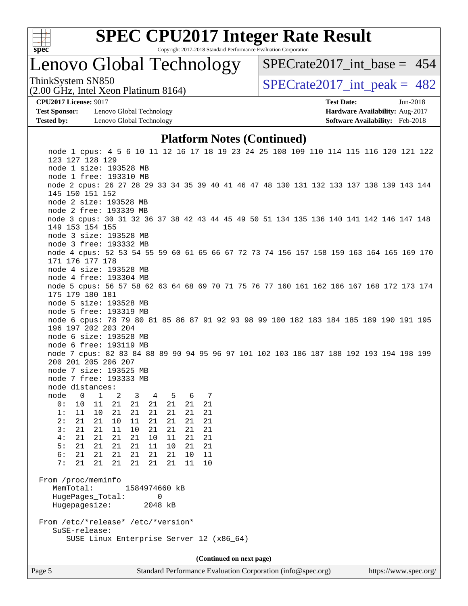

# **[SPEC CPU2017 Integer Rate Result](http://www.spec.org/auto/cpu2017/Docs/result-fields.html#SPECCPU2017IntegerRateResult)**

Copyright 2017-2018 Standard Performance Evaluation Corporation

### Lenovo Global Technology

 $SPECrate2017\_int\_base = 454$ 

(2.00 GHz, Intel Xeon Platinum 8164)

ThinkSystem SN850<br>  $(2.00 \text{ GHz. Intel Yoon Plitium } 8164)$  [SPECrate2017\\_int\\_peak =](http://www.spec.org/auto/cpu2017/Docs/result-fields.html#SPECrate2017intpeak) 482

**[Test Sponsor:](http://www.spec.org/auto/cpu2017/Docs/result-fields.html#TestSponsor)** Lenovo Global Technology **[Hardware Availability:](http://www.spec.org/auto/cpu2017/Docs/result-fields.html#HardwareAvailability)** Aug-2017 **[Tested by:](http://www.spec.org/auto/cpu2017/Docs/result-fields.html#Testedby)** Lenovo Global Technology **[Software Availability:](http://www.spec.org/auto/cpu2017/Docs/result-fields.html#SoftwareAvailability)** Feb-2018

**[CPU2017 License:](http://www.spec.org/auto/cpu2017/Docs/result-fields.html#CPU2017License)** 9017 **[Test Date:](http://www.spec.org/auto/cpu2017/Docs/result-fields.html#TestDate)** Jun-2018

#### **[Platform Notes \(Continued\)](http://www.spec.org/auto/cpu2017/Docs/result-fields.html#PlatformNotes)**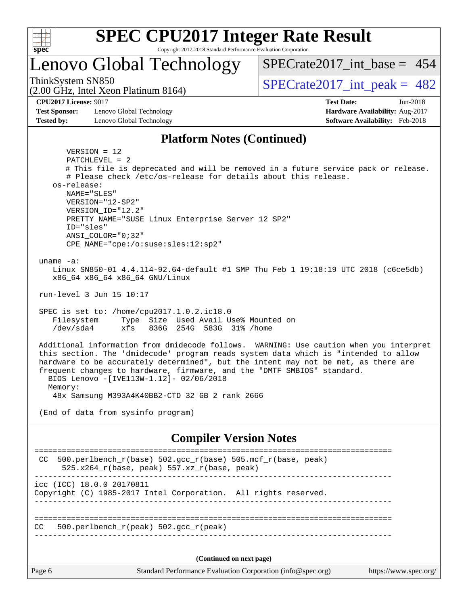

### Lenovo Global Technology

ThinkSystem SN850<br>  $(2.00 \text{ GHz. Intel Yoon Plitium } 8164)$  [SPECrate2017\\_int\\_peak =](http://www.spec.org/auto/cpu2017/Docs/result-fields.html#SPECrate2017intpeak) 482

[SPECrate2017\\_int\\_base =](http://www.spec.org/auto/cpu2017/Docs/result-fields.html#SPECrate2017intbase) 454

(2.00 GHz, Intel Xeon Platinum 8164)

**[CPU2017 License:](http://www.spec.org/auto/cpu2017/Docs/result-fields.html#CPU2017License)** 9017 **[Test Date:](http://www.spec.org/auto/cpu2017/Docs/result-fields.html#TestDate)** Jun-2018

**[Test Sponsor:](http://www.spec.org/auto/cpu2017/Docs/result-fields.html#TestSponsor)** Lenovo Global Technology **[Hardware Availability:](http://www.spec.org/auto/cpu2017/Docs/result-fields.html#HardwareAvailability)** Aug-2017 **[Tested by:](http://www.spec.org/auto/cpu2017/Docs/result-fields.html#Testedby)** Lenovo Global Technology **[Software Availability:](http://www.spec.org/auto/cpu2017/Docs/result-fields.html#SoftwareAvailability)** Feb-2018

#### **[Platform Notes \(Continued\)](http://www.spec.org/auto/cpu2017/Docs/result-fields.html#PlatformNotes)**

 VERSION = 12 PATCHLEVEL = 2 # This file is deprecated and will be removed in a future service pack or release. # Please check /etc/os-release for details about this release. os-release: NAME="SLES" VERSION="12-SP2" VERSION\_ID="12.2" PRETTY\_NAME="SUSE Linux Enterprise Server 12 SP2" ID="sles" ANSI\_COLOR="0;32" CPE\_NAME="cpe:/o:suse:sles:12:sp2" uname -a: Linux SN850-01 4.4.114-92.64-default #1 SMP Thu Feb 1 19:18:19 UTC 2018 (c6ce5db) x86\_64 x86\_64 x86\_64 GNU/Linux run-level 3 Jun 15 10:17 SPEC is set to: /home/cpu2017.1.0.2.ic18.0 Filesystem Type Size Used Avail Use% Mounted on /dev/sda4 xfs 836G 254G 583G 31% /home Additional information from dmidecode follows. WARNING: Use caution when you interpret this section. The 'dmidecode' program reads system data which is "intended to allow hardware to be accurately determined", but the intent may not be met, as there are frequent changes to hardware, firmware, and the "DMTF SMBIOS" standard. BIOS Lenovo -[IVE113W-1.12]- 02/06/2018 Memory: 48x Samsung M393A4K40BB2-CTD 32 GB 2 rank 2666 (End of data from sysinfo program) **[Compiler Version Notes](http://www.spec.org/auto/cpu2017/Docs/result-fields.html#CompilerVersionNotes)** ============================================================================== CC 500.perlbench  $r(base)$  502.gcc  $r(base)$  505.mcf  $r(base, peak)$ 525.x264 $r(base, peak)$  557.xz $r(base, peak)$ ----------------------------------------------------------------------------- icc (ICC) 18.0.0 20170811 Copyright (C) 1985-2017 Intel Corporation. All rights reserved. ------------------------------------------------------------------------------

============================================================================== CC 500.perlbench\_r(peak) 502.gcc\_r(peak)

------------------------------------------------------------------------------

**(Continued on next page)**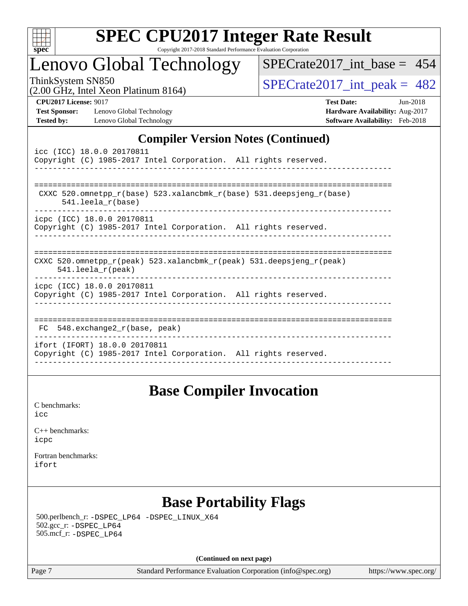

### Lenovo Global Technology

[SPECrate2017\\_int\\_base =](http://www.spec.org/auto/cpu2017/Docs/result-fields.html#SPECrate2017intbase) 454

(2.00 GHz, Intel Xeon Platinum 8164)

ThinkSystem SN850<br>(2.00 GHz, Intel Xeon Platinum 8164) [SPECrate2017\\_int\\_peak =](http://www.spec.org/auto/cpu2017/Docs/result-fields.html#SPECrate2017intpeak)  $482$ 

**[Test Sponsor:](http://www.spec.org/auto/cpu2017/Docs/result-fields.html#TestSponsor)** Lenovo Global Technology **[Hardware Availability:](http://www.spec.org/auto/cpu2017/Docs/result-fields.html#HardwareAvailability)** Aug-2017 **[Tested by:](http://www.spec.org/auto/cpu2017/Docs/result-fields.html#Testedby)** Lenovo Global Technology **[Software Availability:](http://www.spec.org/auto/cpu2017/Docs/result-fields.html#SoftwareAvailability)** Feb-2018

**[CPU2017 License:](http://www.spec.org/auto/cpu2017/Docs/result-fields.html#CPU2017License)** 9017 **[Test Date:](http://www.spec.org/auto/cpu2017/Docs/result-fields.html#TestDate)** Jun-2018

#### **[Compiler Version Notes \(Continued\)](http://www.spec.org/auto/cpu2017/Docs/result-fields.html#CompilerVersionNotes)**

| icc (ICC) 18.0.0 20170811<br>Copyright (C) 1985-2017 Intel Corporation. All rights reserved.                            |
|-------------------------------------------------------------------------------------------------------------------------|
| CXXC 520.omnetpp $r(base)$ 523.xalancbmk $r(base)$ 531.deepsjeng $r(base)$<br>541.leela_r(base)                         |
| icpc (ICC) 18.0.0 20170811<br>Copyright (C) 1985-2017 Intel Corporation. All rights reserved.                           |
| CXXC 520.omnetpp $r(\text{peak})$ 523.xalancbmk $r(\text{peak})$ 531.deepsjeng $r(\text{peak})$<br>$541.$ leela r(peak) |
| icpc (ICC) 18.0.0 20170811<br>Copyright (C) 1985-2017 Intel Corporation. All rights reserved.                           |
| $FC$ 548. exchange2 $r(base, peak)$<br>______________________________________                                           |
| ifort (IFORT) 18.0.0 20170811<br>Copyright (C) 1985-2017 Intel Corporation. All rights reserved.                        |

### **[Base Compiler Invocation](http://www.spec.org/auto/cpu2017/Docs/result-fields.html#BaseCompilerInvocation)**

[C benchmarks](http://www.spec.org/auto/cpu2017/Docs/result-fields.html#Cbenchmarks): [icc](http://www.spec.org/cpu2017/results/res2018q3/cpu2017-20180620-07210.flags.html#user_CCbase_intel_icc_18.0_66fc1ee009f7361af1fbd72ca7dcefbb700085f36577c54f309893dd4ec40d12360134090235512931783d35fd58c0460139e722d5067c5574d8eaf2b3e37e92)

[C++ benchmarks:](http://www.spec.org/auto/cpu2017/Docs/result-fields.html#CXXbenchmarks) [icpc](http://www.spec.org/cpu2017/results/res2018q3/cpu2017-20180620-07210.flags.html#user_CXXbase_intel_icpc_18.0_c510b6838c7f56d33e37e94d029a35b4a7bccf4766a728ee175e80a419847e808290a9b78be685c44ab727ea267ec2f070ec5dc83b407c0218cded6866a35d07)

[Fortran benchmarks](http://www.spec.org/auto/cpu2017/Docs/result-fields.html#Fortranbenchmarks): [ifort](http://www.spec.org/cpu2017/results/res2018q3/cpu2017-20180620-07210.flags.html#user_FCbase_intel_ifort_18.0_8111460550e3ca792625aed983ce982f94888b8b503583aa7ba2b8303487b4d8a21a13e7191a45c5fd58ff318f48f9492884d4413fa793fd88dd292cad7027ca)

### **[Base Portability Flags](http://www.spec.org/auto/cpu2017/Docs/result-fields.html#BasePortabilityFlags)**

 500.perlbench\_r: [-DSPEC\\_LP64](http://www.spec.org/cpu2017/results/res2018q3/cpu2017-20180620-07210.flags.html#b500.perlbench_r_basePORTABILITY_DSPEC_LP64) [-DSPEC\\_LINUX\\_X64](http://www.spec.org/cpu2017/results/res2018q3/cpu2017-20180620-07210.flags.html#b500.perlbench_r_baseCPORTABILITY_DSPEC_LINUX_X64) 502.gcc\_r: [-DSPEC\\_LP64](http://www.spec.org/cpu2017/results/res2018q3/cpu2017-20180620-07210.flags.html#suite_basePORTABILITY502_gcc_r_DSPEC_LP64) 505.mcf\_r: [-DSPEC\\_LP64](http://www.spec.org/cpu2017/results/res2018q3/cpu2017-20180620-07210.flags.html#suite_basePORTABILITY505_mcf_r_DSPEC_LP64)

**(Continued on next page)**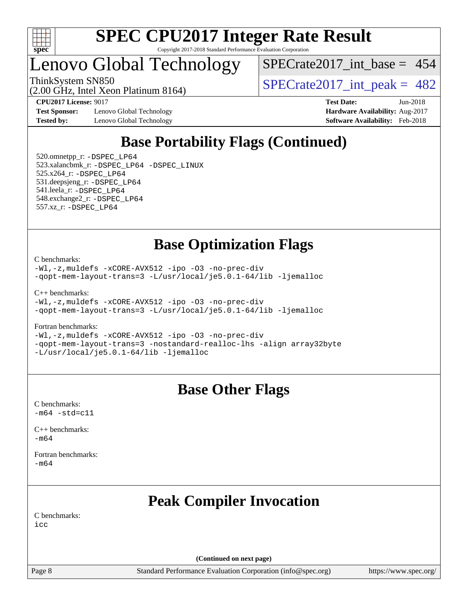

### Lenovo Global Technology

 $SPECrate2017\_int\_base = 454$ 

ThinkSystem SN850<br>  $\frac{1}{200}$  [SPECrate2017\\_int\\_peak =](http://www.spec.org/auto/cpu2017/Docs/result-fields.html#SPECrate2017intpeak) 482

**[Test Sponsor:](http://www.spec.org/auto/cpu2017/Docs/result-fields.html#TestSponsor)** Lenovo Global Technology **[Hardware Availability:](http://www.spec.org/auto/cpu2017/Docs/result-fields.html#HardwareAvailability)** Aug-2017 **[Tested by:](http://www.spec.org/auto/cpu2017/Docs/result-fields.html#Testedby)** Lenovo Global Technology **[Software Availability:](http://www.spec.org/auto/cpu2017/Docs/result-fields.html#SoftwareAvailability)** Feb-2018

(2.00 GHz, Intel Xeon Platinum 8164)

**[CPU2017 License:](http://www.spec.org/auto/cpu2017/Docs/result-fields.html#CPU2017License)** 9017 **[Test Date:](http://www.spec.org/auto/cpu2017/Docs/result-fields.html#TestDate)** Jun-2018

### **[Base Portability Flags \(Continued\)](http://www.spec.org/auto/cpu2017/Docs/result-fields.html#BasePortabilityFlags)**

 520.omnetpp\_r: [-DSPEC\\_LP64](http://www.spec.org/cpu2017/results/res2018q3/cpu2017-20180620-07210.flags.html#suite_basePORTABILITY520_omnetpp_r_DSPEC_LP64) 523.xalancbmk\_r: [-DSPEC\\_LP64](http://www.spec.org/cpu2017/results/res2018q3/cpu2017-20180620-07210.flags.html#suite_basePORTABILITY523_xalancbmk_r_DSPEC_LP64) [-DSPEC\\_LINUX](http://www.spec.org/cpu2017/results/res2018q3/cpu2017-20180620-07210.flags.html#b523.xalancbmk_r_baseCXXPORTABILITY_DSPEC_LINUX) 525.x264\_r: [-DSPEC\\_LP64](http://www.spec.org/cpu2017/results/res2018q3/cpu2017-20180620-07210.flags.html#suite_basePORTABILITY525_x264_r_DSPEC_LP64) 531.deepsjeng\_r: [-DSPEC\\_LP64](http://www.spec.org/cpu2017/results/res2018q3/cpu2017-20180620-07210.flags.html#suite_basePORTABILITY531_deepsjeng_r_DSPEC_LP64) 541.leela\_r: [-DSPEC\\_LP64](http://www.spec.org/cpu2017/results/res2018q3/cpu2017-20180620-07210.flags.html#suite_basePORTABILITY541_leela_r_DSPEC_LP64) 548.exchange2\_r: [-DSPEC\\_LP64](http://www.spec.org/cpu2017/results/res2018q3/cpu2017-20180620-07210.flags.html#suite_basePORTABILITY548_exchange2_r_DSPEC_LP64) 557.xz\_r: [-DSPEC\\_LP64](http://www.spec.org/cpu2017/results/res2018q3/cpu2017-20180620-07210.flags.html#suite_basePORTABILITY557_xz_r_DSPEC_LP64)

### **[Base Optimization Flags](http://www.spec.org/auto/cpu2017/Docs/result-fields.html#BaseOptimizationFlags)**

[C benchmarks](http://www.spec.org/auto/cpu2017/Docs/result-fields.html#Cbenchmarks):

[-Wl,-z,muldefs](http://www.spec.org/cpu2017/results/res2018q3/cpu2017-20180620-07210.flags.html#user_CCbase_link_force_multiple1_b4cbdb97b34bdee9ceefcfe54f4c8ea74255f0b02a4b23e853cdb0e18eb4525ac79b5a88067c842dd0ee6996c24547a27a4b99331201badda8798ef8a743f577) [-xCORE-AVX512](http://www.spec.org/cpu2017/results/res2018q3/cpu2017-20180620-07210.flags.html#user_CCbase_f-xCORE-AVX512) [-ipo](http://www.spec.org/cpu2017/results/res2018q3/cpu2017-20180620-07210.flags.html#user_CCbase_f-ipo) [-O3](http://www.spec.org/cpu2017/results/res2018q3/cpu2017-20180620-07210.flags.html#user_CCbase_f-O3) [-no-prec-div](http://www.spec.org/cpu2017/results/res2018q3/cpu2017-20180620-07210.flags.html#user_CCbase_f-no-prec-div) [-qopt-mem-layout-trans=3](http://www.spec.org/cpu2017/results/res2018q3/cpu2017-20180620-07210.flags.html#user_CCbase_f-qopt-mem-layout-trans_de80db37974c74b1f0e20d883f0b675c88c3b01e9d123adea9b28688d64333345fb62bc4a798493513fdb68f60282f9a726aa07f478b2f7113531aecce732043) [-L/usr/local/je5.0.1-64/lib](http://www.spec.org/cpu2017/results/res2018q3/cpu2017-20180620-07210.flags.html#user_CCbase_jemalloc_link_path64_4b10a636b7bce113509b17f3bd0d6226c5fb2346b9178c2d0232c14f04ab830f976640479e5c33dc2bcbbdad86ecfb6634cbbd4418746f06f368b512fced5394) [-ljemalloc](http://www.spec.org/cpu2017/results/res2018q3/cpu2017-20180620-07210.flags.html#user_CCbase_jemalloc_link_lib_d1249b907c500fa1c0672f44f562e3d0f79738ae9e3c4a9c376d49f265a04b9c99b167ecedbf6711b3085be911c67ff61f150a17b3472be731631ba4d0471706)

[C++ benchmarks:](http://www.spec.org/auto/cpu2017/Docs/result-fields.html#CXXbenchmarks)

```
-Wl,-z,muldefs -xCORE-AVX512 -ipo -O3 -no-prec-div
-qopt-mem-layout-trans=3 -L/usr/local/je5.0.1-64/lib -ljemalloc
```
[Fortran benchmarks](http://www.spec.org/auto/cpu2017/Docs/result-fields.html#Fortranbenchmarks):

[-Wl,-z,muldefs](http://www.spec.org/cpu2017/results/res2018q3/cpu2017-20180620-07210.flags.html#user_FCbase_link_force_multiple1_b4cbdb97b34bdee9ceefcfe54f4c8ea74255f0b02a4b23e853cdb0e18eb4525ac79b5a88067c842dd0ee6996c24547a27a4b99331201badda8798ef8a743f577) [-xCORE-AVX512](http://www.spec.org/cpu2017/results/res2018q3/cpu2017-20180620-07210.flags.html#user_FCbase_f-xCORE-AVX512) [-ipo](http://www.spec.org/cpu2017/results/res2018q3/cpu2017-20180620-07210.flags.html#user_FCbase_f-ipo) [-O3](http://www.spec.org/cpu2017/results/res2018q3/cpu2017-20180620-07210.flags.html#user_FCbase_f-O3) [-no-prec-div](http://www.spec.org/cpu2017/results/res2018q3/cpu2017-20180620-07210.flags.html#user_FCbase_f-no-prec-div) [-qopt-mem-layout-trans=3](http://www.spec.org/cpu2017/results/res2018q3/cpu2017-20180620-07210.flags.html#user_FCbase_f-qopt-mem-layout-trans_de80db37974c74b1f0e20d883f0b675c88c3b01e9d123adea9b28688d64333345fb62bc4a798493513fdb68f60282f9a726aa07f478b2f7113531aecce732043) [-nostandard-realloc-lhs](http://www.spec.org/cpu2017/results/res2018q3/cpu2017-20180620-07210.flags.html#user_FCbase_f_2003_std_realloc_82b4557e90729c0f113870c07e44d33d6f5a304b4f63d4c15d2d0f1fab99f5daaed73bdb9275d9ae411527f28b936061aa8b9c8f2d63842963b95c9dd6426b8a) [-align array32byte](http://www.spec.org/cpu2017/results/res2018q3/cpu2017-20180620-07210.flags.html#user_FCbase_align_array32byte_b982fe038af199962ba9a80c053b8342c548c85b40b8e86eb3cc33dee0d7986a4af373ac2d51c3f7cf710a18d62fdce2948f201cd044323541f22fc0fffc51b6) [-L/usr/local/je5.0.1-64/lib](http://www.spec.org/cpu2017/results/res2018q3/cpu2017-20180620-07210.flags.html#user_FCbase_jemalloc_link_path64_4b10a636b7bce113509b17f3bd0d6226c5fb2346b9178c2d0232c14f04ab830f976640479e5c33dc2bcbbdad86ecfb6634cbbd4418746f06f368b512fced5394) [-ljemalloc](http://www.spec.org/cpu2017/results/res2018q3/cpu2017-20180620-07210.flags.html#user_FCbase_jemalloc_link_lib_d1249b907c500fa1c0672f44f562e3d0f79738ae9e3c4a9c376d49f265a04b9c99b167ecedbf6711b3085be911c67ff61f150a17b3472be731631ba4d0471706)

### **[Base Other Flags](http://www.spec.org/auto/cpu2017/Docs/result-fields.html#BaseOtherFlags)**

[C benchmarks](http://www.spec.org/auto/cpu2017/Docs/result-fields.html#Cbenchmarks):  $-m64 - std = c11$  $-m64 - std = c11$ 

[C++ benchmarks:](http://www.spec.org/auto/cpu2017/Docs/result-fields.html#CXXbenchmarks) [-m64](http://www.spec.org/cpu2017/results/res2018q3/cpu2017-20180620-07210.flags.html#user_CXXbase_intel_intel64_18.0_af43caccfc8ded86e7699f2159af6efc7655f51387b94da716254467f3c01020a5059329e2569e4053f409e7c9202a7efc638f7a6d1ffb3f52dea4a3e31d82ab)

[Fortran benchmarks](http://www.spec.org/auto/cpu2017/Docs/result-fields.html#Fortranbenchmarks): [-m64](http://www.spec.org/cpu2017/results/res2018q3/cpu2017-20180620-07210.flags.html#user_FCbase_intel_intel64_18.0_af43caccfc8ded86e7699f2159af6efc7655f51387b94da716254467f3c01020a5059329e2569e4053f409e7c9202a7efc638f7a6d1ffb3f52dea4a3e31d82ab)

### **[Peak Compiler Invocation](http://www.spec.org/auto/cpu2017/Docs/result-fields.html#PeakCompilerInvocation)**

[C benchmarks](http://www.spec.org/auto/cpu2017/Docs/result-fields.html#Cbenchmarks): [icc](http://www.spec.org/cpu2017/results/res2018q3/cpu2017-20180620-07210.flags.html#user_CCpeak_intel_icc_18.0_66fc1ee009f7361af1fbd72ca7dcefbb700085f36577c54f309893dd4ec40d12360134090235512931783d35fd58c0460139e722d5067c5574d8eaf2b3e37e92)

**(Continued on next page)**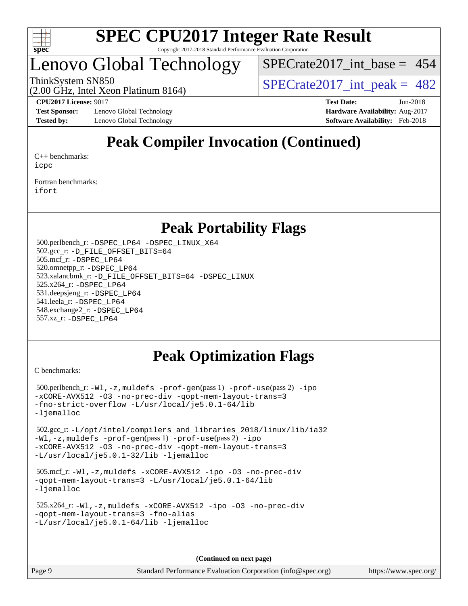

### Lenovo Global Technology

 $SPECrate2017\_int\_base = 454$ 

ThinkSystem SN850<br>  $(2.00 \text{ GHz. Intel Yoon Plotinum } 8164)$  [SPECrate2017\\_int\\_peak =](http://www.spec.org/auto/cpu2017/Docs/result-fields.html#SPECrate2017intpeak) 482

**[Test Sponsor:](http://www.spec.org/auto/cpu2017/Docs/result-fields.html#TestSponsor)** Lenovo Global Technology **[Hardware Availability:](http://www.spec.org/auto/cpu2017/Docs/result-fields.html#HardwareAvailability)** Aug-2017 **[Tested by:](http://www.spec.org/auto/cpu2017/Docs/result-fields.html#Testedby)** Lenovo Global Technology **[Software Availability:](http://www.spec.org/auto/cpu2017/Docs/result-fields.html#SoftwareAvailability)** Feb-2018

(2.00 GHz, Intel Xeon Platinum 8164)

**[CPU2017 License:](http://www.spec.org/auto/cpu2017/Docs/result-fields.html#CPU2017License)** 9017 **[Test Date:](http://www.spec.org/auto/cpu2017/Docs/result-fields.html#TestDate)** Jun-2018

### **[Peak Compiler Invocation \(Continued\)](http://www.spec.org/auto/cpu2017/Docs/result-fields.html#PeakCompilerInvocation)**

[C++ benchmarks:](http://www.spec.org/auto/cpu2017/Docs/result-fields.html#CXXbenchmarks) [icpc](http://www.spec.org/cpu2017/results/res2018q3/cpu2017-20180620-07210.flags.html#user_CXXpeak_intel_icpc_18.0_c510b6838c7f56d33e37e94d029a35b4a7bccf4766a728ee175e80a419847e808290a9b78be685c44ab727ea267ec2f070ec5dc83b407c0218cded6866a35d07)

[Fortran benchmarks](http://www.spec.org/auto/cpu2017/Docs/result-fields.html#Fortranbenchmarks): [ifort](http://www.spec.org/cpu2017/results/res2018q3/cpu2017-20180620-07210.flags.html#user_FCpeak_intel_ifort_18.0_8111460550e3ca792625aed983ce982f94888b8b503583aa7ba2b8303487b4d8a21a13e7191a45c5fd58ff318f48f9492884d4413fa793fd88dd292cad7027ca)

#### **[Peak Portability Flags](http://www.spec.org/auto/cpu2017/Docs/result-fields.html#PeakPortabilityFlags)**

 500.perlbench\_r: [-DSPEC\\_LP64](http://www.spec.org/cpu2017/results/res2018q3/cpu2017-20180620-07210.flags.html#b500.perlbench_r_peakPORTABILITY_DSPEC_LP64) [-DSPEC\\_LINUX\\_X64](http://www.spec.org/cpu2017/results/res2018q3/cpu2017-20180620-07210.flags.html#b500.perlbench_r_peakCPORTABILITY_DSPEC_LINUX_X64) 502.gcc\_r: [-D\\_FILE\\_OFFSET\\_BITS=64](http://www.spec.org/cpu2017/results/res2018q3/cpu2017-20180620-07210.flags.html#user_peakPORTABILITY502_gcc_r_file_offset_bits_64_5ae949a99b284ddf4e95728d47cb0843d81b2eb0e18bdfe74bbf0f61d0b064f4bda2f10ea5eb90e1dcab0e84dbc592acfc5018bc955c18609f94ddb8d550002c) 505.mcf\_r: [-DSPEC\\_LP64](http://www.spec.org/cpu2017/results/res2018q3/cpu2017-20180620-07210.flags.html#suite_peakPORTABILITY505_mcf_r_DSPEC_LP64) 520.omnetpp\_r: [-DSPEC\\_LP64](http://www.spec.org/cpu2017/results/res2018q3/cpu2017-20180620-07210.flags.html#suite_peakPORTABILITY520_omnetpp_r_DSPEC_LP64) 523.xalancbmk\_r: [-D\\_FILE\\_OFFSET\\_BITS=64](http://www.spec.org/cpu2017/results/res2018q3/cpu2017-20180620-07210.flags.html#user_peakPORTABILITY523_xalancbmk_r_file_offset_bits_64_5ae949a99b284ddf4e95728d47cb0843d81b2eb0e18bdfe74bbf0f61d0b064f4bda2f10ea5eb90e1dcab0e84dbc592acfc5018bc955c18609f94ddb8d550002c) [-DSPEC\\_LINUX](http://www.spec.org/cpu2017/results/res2018q3/cpu2017-20180620-07210.flags.html#b523.xalancbmk_r_peakCXXPORTABILITY_DSPEC_LINUX) 525.x264\_r: [-DSPEC\\_LP64](http://www.spec.org/cpu2017/results/res2018q3/cpu2017-20180620-07210.flags.html#suite_peakPORTABILITY525_x264_r_DSPEC_LP64) 531.deepsjeng\_r: [-DSPEC\\_LP64](http://www.spec.org/cpu2017/results/res2018q3/cpu2017-20180620-07210.flags.html#suite_peakPORTABILITY531_deepsjeng_r_DSPEC_LP64) 541.leela\_r: [-DSPEC\\_LP64](http://www.spec.org/cpu2017/results/res2018q3/cpu2017-20180620-07210.flags.html#suite_peakPORTABILITY541_leela_r_DSPEC_LP64) 548.exchange2\_r: [-DSPEC\\_LP64](http://www.spec.org/cpu2017/results/res2018q3/cpu2017-20180620-07210.flags.html#suite_peakPORTABILITY548_exchange2_r_DSPEC_LP64) 557.xz\_r: [-DSPEC\\_LP64](http://www.spec.org/cpu2017/results/res2018q3/cpu2017-20180620-07210.flags.html#suite_peakPORTABILITY557_xz_r_DSPEC_LP64)

### **[Peak Optimization Flags](http://www.spec.org/auto/cpu2017/Docs/result-fields.html#PeakOptimizationFlags)**

[C benchmarks](http://www.spec.org/auto/cpu2017/Docs/result-fields.html#Cbenchmarks):

 500.perlbench\_r: [-Wl,-z,muldefs](http://www.spec.org/cpu2017/results/res2018q3/cpu2017-20180620-07210.flags.html#user_peakEXTRA_LDFLAGS500_perlbench_r_link_force_multiple1_b4cbdb97b34bdee9ceefcfe54f4c8ea74255f0b02a4b23e853cdb0e18eb4525ac79b5a88067c842dd0ee6996c24547a27a4b99331201badda8798ef8a743f577) [-prof-gen](http://www.spec.org/cpu2017/results/res2018q3/cpu2017-20180620-07210.flags.html#user_peakPASS1_CFLAGSPASS1_LDFLAGS500_perlbench_r_prof_gen_5aa4926d6013ddb2a31985c654b3eb18169fc0c6952a63635c234f711e6e63dd76e94ad52365559451ec499a2cdb89e4dc58ba4c67ef54ca681ffbe1461d6b36)(pass 1) [-prof-use](http://www.spec.org/cpu2017/results/res2018q3/cpu2017-20180620-07210.flags.html#user_peakPASS2_CFLAGSPASS2_LDFLAGS500_perlbench_r_prof_use_1a21ceae95f36a2b53c25747139a6c16ca95bd9def2a207b4f0849963b97e94f5260e30a0c64f4bb623698870e679ca08317ef8150905d41bd88c6f78df73f19)(pass 2) [-ipo](http://www.spec.org/cpu2017/results/res2018q3/cpu2017-20180620-07210.flags.html#user_peakPASS1_COPTIMIZEPASS2_COPTIMIZE500_perlbench_r_f-ipo) [-xCORE-AVX512](http://www.spec.org/cpu2017/results/res2018q3/cpu2017-20180620-07210.flags.html#user_peakPASS2_COPTIMIZE500_perlbench_r_f-xCORE-AVX512) [-O3](http://www.spec.org/cpu2017/results/res2018q3/cpu2017-20180620-07210.flags.html#user_peakPASS1_COPTIMIZEPASS2_COPTIMIZE500_perlbench_r_f-O3) [-no-prec-div](http://www.spec.org/cpu2017/results/res2018q3/cpu2017-20180620-07210.flags.html#user_peakPASS1_COPTIMIZEPASS2_COPTIMIZE500_perlbench_r_f-no-prec-div) [-qopt-mem-layout-trans=3](http://www.spec.org/cpu2017/results/res2018q3/cpu2017-20180620-07210.flags.html#user_peakPASS1_COPTIMIZEPASS2_COPTIMIZE500_perlbench_r_f-qopt-mem-layout-trans_de80db37974c74b1f0e20d883f0b675c88c3b01e9d123adea9b28688d64333345fb62bc4a798493513fdb68f60282f9a726aa07f478b2f7113531aecce732043) [-fno-strict-overflow](http://www.spec.org/cpu2017/results/res2018q3/cpu2017-20180620-07210.flags.html#user_peakEXTRA_OPTIMIZE500_perlbench_r_f-fno-strict-overflow) [-L/usr/local/je5.0.1-64/lib](http://www.spec.org/cpu2017/results/res2018q3/cpu2017-20180620-07210.flags.html#user_peakEXTRA_LIBS500_perlbench_r_jemalloc_link_path64_4b10a636b7bce113509b17f3bd0d6226c5fb2346b9178c2d0232c14f04ab830f976640479e5c33dc2bcbbdad86ecfb6634cbbd4418746f06f368b512fced5394) [-ljemalloc](http://www.spec.org/cpu2017/results/res2018q3/cpu2017-20180620-07210.flags.html#user_peakEXTRA_LIBS500_perlbench_r_jemalloc_link_lib_d1249b907c500fa1c0672f44f562e3d0f79738ae9e3c4a9c376d49f265a04b9c99b167ecedbf6711b3085be911c67ff61f150a17b3472be731631ba4d0471706) 502.gcc\_r: [-L/opt/intel/compilers\\_and\\_libraries\\_2018/linux/lib/ia32](http://www.spec.org/cpu2017/results/res2018q3/cpu2017-20180620-07210.flags.html#user_peakCCLD502_gcc_r_Enable-32bit-runtime_af243bdb1d79e4c7a4f720bf8275e627de2ecd461de63307bc14cef0633fde3cd7bb2facb32dcc8be9566045fb55d40ce2b72b725f73827aa7833441b71b9343) [-Wl,-z,muldefs](http://www.spec.org/cpu2017/results/res2018q3/cpu2017-20180620-07210.flags.html#user_peakEXTRA_LDFLAGS502_gcc_r_link_force_multiple1_b4cbdb97b34bdee9ceefcfe54f4c8ea74255f0b02a4b23e853cdb0e18eb4525ac79b5a88067c842dd0ee6996c24547a27a4b99331201badda8798ef8a743f577) [-prof-gen](http://www.spec.org/cpu2017/results/res2018q3/cpu2017-20180620-07210.flags.html#user_peakPASS1_CFLAGSPASS1_LDFLAGS502_gcc_r_prof_gen_5aa4926d6013ddb2a31985c654b3eb18169fc0c6952a63635c234f711e6e63dd76e94ad52365559451ec499a2cdb89e4dc58ba4c67ef54ca681ffbe1461d6b36)(pass 1) [-prof-use](http://www.spec.org/cpu2017/results/res2018q3/cpu2017-20180620-07210.flags.html#user_peakPASS2_CFLAGSPASS2_LDFLAGS502_gcc_r_prof_use_1a21ceae95f36a2b53c25747139a6c16ca95bd9def2a207b4f0849963b97e94f5260e30a0c64f4bb623698870e679ca08317ef8150905d41bd88c6f78df73f19)(pass 2) [-ipo](http://www.spec.org/cpu2017/results/res2018q3/cpu2017-20180620-07210.flags.html#user_peakPASS1_COPTIMIZEPASS2_COPTIMIZE502_gcc_r_f-ipo) [-xCORE-AVX512](http://www.spec.org/cpu2017/results/res2018q3/cpu2017-20180620-07210.flags.html#user_peakPASS2_COPTIMIZE502_gcc_r_f-xCORE-AVX512) [-O3](http://www.spec.org/cpu2017/results/res2018q3/cpu2017-20180620-07210.flags.html#user_peakPASS1_COPTIMIZEPASS2_COPTIMIZE502_gcc_r_f-O3) [-no-prec-div](http://www.spec.org/cpu2017/results/res2018q3/cpu2017-20180620-07210.flags.html#user_peakPASS1_COPTIMIZEPASS2_COPTIMIZE502_gcc_r_f-no-prec-div) [-qopt-mem-layout-trans=3](http://www.spec.org/cpu2017/results/res2018q3/cpu2017-20180620-07210.flags.html#user_peakPASS1_COPTIMIZEPASS2_COPTIMIZE502_gcc_r_f-qopt-mem-layout-trans_de80db37974c74b1f0e20d883f0b675c88c3b01e9d123adea9b28688d64333345fb62bc4a798493513fdb68f60282f9a726aa07f478b2f7113531aecce732043) [-L/usr/local/je5.0.1-32/lib](http://www.spec.org/cpu2017/results/res2018q3/cpu2017-20180620-07210.flags.html#user_peakEXTRA_LIBS502_gcc_r_jemalloc_link_path32_e29f22e8e6c17053bbc6a0971f5a9c01a601a06bb1a59df2084b77a2fe0a2995b64fd4256feaeea39eeba3aae142e96e2b2b0a28974019c0c0c88139a84f900a) [-ljemalloc](http://www.spec.org/cpu2017/results/res2018q3/cpu2017-20180620-07210.flags.html#user_peakEXTRA_LIBS502_gcc_r_jemalloc_link_lib_d1249b907c500fa1c0672f44f562e3d0f79738ae9e3c4a9c376d49f265a04b9c99b167ecedbf6711b3085be911c67ff61f150a17b3472be731631ba4d0471706) 505.mcf\_r: [-Wl,-z,muldefs](http://www.spec.org/cpu2017/results/res2018q3/cpu2017-20180620-07210.flags.html#user_peakEXTRA_LDFLAGS505_mcf_r_link_force_multiple1_b4cbdb97b34bdee9ceefcfe54f4c8ea74255f0b02a4b23e853cdb0e18eb4525ac79b5a88067c842dd0ee6996c24547a27a4b99331201badda8798ef8a743f577) [-xCORE-AVX512](http://www.spec.org/cpu2017/results/res2018q3/cpu2017-20180620-07210.flags.html#user_peakCOPTIMIZE505_mcf_r_f-xCORE-AVX512) [-ipo](http://www.spec.org/cpu2017/results/res2018q3/cpu2017-20180620-07210.flags.html#user_peakCOPTIMIZE505_mcf_r_f-ipo) [-O3](http://www.spec.org/cpu2017/results/res2018q3/cpu2017-20180620-07210.flags.html#user_peakCOPTIMIZE505_mcf_r_f-O3) [-no-prec-div](http://www.spec.org/cpu2017/results/res2018q3/cpu2017-20180620-07210.flags.html#user_peakCOPTIMIZE505_mcf_r_f-no-prec-div) [-qopt-mem-layout-trans=3](http://www.spec.org/cpu2017/results/res2018q3/cpu2017-20180620-07210.flags.html#user_peakCOPTIMIZE505_mcf_r_f-qopt-mem-layout-trans_de80db37974c74b1f0e20d883f0b675c88c3b01e9d123adea9b28688d64333345fb62bc4a798493513fdb68f60282f9a726aa07f478b2f7113531aecce732043) [-L/usr/local/je5.0.1-64/lib](http://www.spec.org/cpu2017/results/res2018q3/cpu2017-20180620-07210.flags.html#user_peakEXTRA_LIBS505_mcf_r_jemalloc_link_path64_4b10a636b7bce113509b17f3bd0d6226c5fb2346b9178c2d0232c14f04ab830f976640479e5c33dc2bcbbdad86ecfb6634cbbd4418746f06f368b512fced5394) [-ljemalloc](http://www.spec.org/cpu2017/results/res2018q3/cpu2017-20180620-07210.flags.html#user_peakEXTRA_LIBS505_mcf_r_jemalloc_link_lib_d1249b907c500fa1c0672f44f562e3d0f79738ae9e3c4a9c376d49f265a04b9c99b167ecedbf6711b3085be911c67ff61f150a17b3472be731631ba4d0471706) 525.x264\_r: [-Wl,-z,muldefs](http://www.spec.org/cpu2017/results/res2018q3/cpu2017-20180620-07210.flags.html#user_peakEXTRA_LDFLAGS525_x264_r_link_force_multiple1_b4cbdb97b34bdee9ceefcfe54f4c8ea74255f0b02a4b23e853cdb0e18eb4525ac79b5a88067c842dd0ee6996c24547a27a4b99331201badda8798ef8a743f577) [-xCORE-AVX512](http://www.spec.org/cpu2017/results/res2018q3/cpu2017-20180620-07210.flags.html#user_peakCOPTIMIZE525_x264_r_f-xCORE-AVX512) [-ipo](http://www.spec.org/cpu2017/results/res2018q3/cpu2017-20180620-07210.flags.html#user_peakCOPTIMIZE525_x264_r_f-ipo) [-O3](http://www.spec.org/cpu2017/results/res2018q3/cpu2017-20180620-07210.flags.html#user_peakCOPTIMIZE525_x264_r_f-O3) [-no-prec-div](http://www.spec.org/cpu2017/results/res2018q3/cpu2017-20180620-07210.flags.html#user_peakCOPTIMIZE525_x264_r_f-no-prec-div) [-qopt-mem-layout-trans=3](http://www.spec.org/cpu2017/results/res2018q3/cpu2017-20180620-07210.flags.html#user_peakCOPTIMIZE525_x264_r_f-qopt-mem-layout-trans_de80db37974c74b1f0e20d883f0b675c88c3b01e9d123adea9b28688d64333345fb62bc4a798493513fdb68f60282f9a726aa07f478b2f7113531aecce732043) [-fno-alias](http://www.spec.org/cpu2017/results/res2018q3/cpu2017-20180620-07210.flags.html#user_peakEXTRA_OPTIMIZE525_x264_r_f-no-alias_77dbac10d91cbfe898fbf4a29d1b29b694089caa623bdd1baccc9957d4edbe8d106c0b357e2748a65b44fc9e83d78098bb898077f3fe92f9faf24f7bd4a07ed7) [-L/usr/local/je5.0.1-64/lib](http://www.spec.org/cpu2017/results/res2018q3/cpu2017-20180620-07210.flags.html#user_peakEXTRA_LIBS525_x264_r_jemalloc_link_path64_4b10a636b7bce113509b17f3bd0d6226c5fb2346b9178c2d0232c14f04ab830f976640479e5c33dc2bcbbdad86ecfb6634cbbd4418746f06f368b512fced5394) [-ljemalloc](http://www.spec.org/cpu2017/results/res2018q3/cpu2017-20180620-07210.flags.html#user_peakEXTRA_LIBS525_x264_r_jemalloc_link_lib_d1249b907c500fa1c0672f44f562e3d0f79738ae9e3c4a9c376d49f265a04b9c99b167ecedbf6711b3085be911c67ff61f150a17b3472be731631ba4d0471706)

**(Continued on next page)**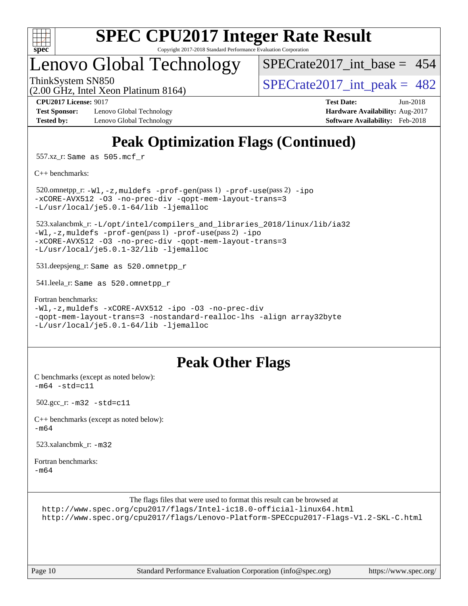

# **[SPEC CPU2017 Integer Rate Result](http://www.spec.org/auto/cpu2017/Docs/result-fields.html#SPECCPU2017IntegerRateResult)**

Copyright 2017-2018 Standard Performance Evaluation Corporation

### Lenovo Global Technology

 $SPECrate2017\_int\_base = 454$ 

(2.00 GHz, Intel Xeon Platinum 8164)

ThinkSystem SN850<br>  $\frac{1}{200}$  [SPECrate2017\\_int\\_peak =](http://www.spec.org/auto/cpu2017/Docs/result-fields.html#SPECrate2017intpeak) 482

**[Test Sponsor:](http://www.spec.org/auto/cpu2017/Docs/result-fields.html#TestSponsor)** Lenovo Global Technology **[Hardware Availability:](http://www.spec.org/auto/cpu2017/Docs/result-fields.html#HardwareAvailability)** Aug-2017 **[Tested by:](http://www.spec.org/auto/cpu2017/Docs/result-fields.html#Testedby)** Lenovo Global Technology **[Software Availability:](http://www.spec.org/auto/cpu2017/Docs/result-fields.html#SoftwareAvailability)** Feb-2018

**[CPU2017 License:](http://www.spec.org/auto/cpu2017/Docs/result-fields.html#CPU2017License)** 9017 **[Test Date:](http://www.spec.org/auto/cpu2017/Docs/result-fields.html#TestDate)** Jun-2018

### **[Peak Optimization Flags \(Continued\)](http://www.spec.org/auto/cpu2017/Docs/result-fields.html#PeakOptimizationFlags)**

557.xz\_r: Same as 505.mcf\_r

[C++ benchmarks:](http://www.spec.org/auto/cpu2017/Docs/result-fields.html#CXXbenchmarks)

 520.omnetpp\_r: [-Wl,-z,muldefs](http://www.spec.org/cpu2017/results/res2018q3/cpu2017-20180620-07210.flags.html#user_peakEXTRA_LDFLAGS520_omnetpp_r_link_force_multiple1_b4cbdb97b34bdee9ceefcfe54f4c8ea74255f0b02a4b23e853cdb0e18eb4525ac79b5a88067c842dd0ee6996c24547a27a4b99331201badda8798ef8a743f577) [-prof-gen](http://www.spec.org/cpu2017/results/res2018q3/cpu2017-20180620-07210.flags.html#user_peakPASS1_CXXFLAGSPASS1_LDFLAGS520_omnetpp_r_prof_gen_5aa4926d6013ddb2a31985c654b3eb18169fc0c6952a63635c234f711e6e63dd76e94ad52365559451ec499a2cdb89e4dc58ba4c67ef54ca681ffbe1461d6b36)(pass 1) [-prof-use](http://www.spec.org/cpu2017/results/res2018q3/cpu2017-20180620-07210.flags.html#user_peakPASS2_CXXFLAGSPASS2_LDFLAGS520_omnetpp_r_prof_use_1a21ceae95f36a2b53c25747139a6c16ca95bd9def2a207b4f0849963b97e94f5260e30a0c64f4bb623698870e679ca08317ef8150905d41bd88c6f78df73f19)(pass 2) [-ipo](http://www.spec.org/cpu2017/results/res2018q3/cpu2017-20180620-07210.flags.html#user_peakPASS1_CXXOPTIMIZEPASS2_CXXOPTIMIZE520_omnetpp_r_f-ipo) [-xCORE-AVX512](http://www.spec.org/cpu2017/results/res2018q3/cpu2017-20180620-07210.flags.html#user_peakPASS2_CXXOPTIMIZE520_omnetpp_r_f-xCORE-AVX512) [-O3](http://www.spec.org/cpu2017/results/res2018q3/cpu2017-20180620-07210.flags.html#user_peakPASS1_CXXOPTIMIZEPASS2_CXXOPTIMIZE520_omnetpp_r_f-O3) [-no-prec-div](http://www.spec.org/cpu2017/results/res2018q3/cpu2017-20180620-07210.flags.html#user_peakPASS1_CXXOPTIMIZEPASS2_CXXOPTIMIZE520_omnetpp_r_f-no-prec-div) [-qopt-mem-layout-trans=3](http://www.spec.org/cpu2017/results/res2018q3/cpu2017-20180620-07210.flags.html#user_peakPASS1_CXXOPTIMIZEPASS2_CXXOPTIMIZE520_omnetpp_r_f-qopt-mem-layout-trans_de80db37974c74b1f0e20d883f0b675c88c3b01e9d123adea9b28688d64333345fb62bc4a798493513fdb68f60282f9a726aa07f478b2f7113531aecce732043) [-L/usr/local/je5.0.1-64/lib](http://www.spec.org/cpu2017/results/res2018q3/cpu2017-20180620-07210.flags.html#user_peakEXTRA_LIBS520_omnetpp_r_jemalloc_link_path64_4b10a636b7bce113509b17f3bd0d6226c5fb2346b9178c2d0232c14f04ab830f976640479e5c33dc2bcbbdad86ecfb6634cbbd4418746f06f368b512fced5394) [-ljemalloc](http://www.spec.org/cpu2017/results/res2018q3/cpu2017-20180620-07210.flags.html#user_peakEXTRA_LIBS520_omnetpp_r_jemalloc_link_lib_d1249b907c500fa1c0672f44f562e3d0f79738ae9e3c4a9c376d49f265a04b9c99b167ecedbf6711b3085be911c67ff61f150a17b3472be731631ba4d0471706)

 523.xalancbmk\_r: [-L/opt/intel/compilers\\_and\\_libraries\\_2018/linux/lib/ia32](http://www.spec.org/cpu2017/results/res2018q3/cpu2017-20180620-07210.flags.html#user_peakCXXLD523_xalancbmk_r_Enable-32bit-runtime_af243bdb1d79e4c7a4f720bf8275e627de2ecd461de63307bc14cef0633fde3cd7bb2facb32dcc8be9566045fb55d40ce2b72b725f73827aa7833441b71b9343) [-Wl,-z,muldefs](http://www.spec.org/cpu2017/results/res2018q3/cpu2017-20180620-07210.flags.html#user_peakEXTRA_LDFLAGS523_xalancbmk_r_link_force_multiple1_b4cbdb97b34bdee9ceefcfe54f4c8ea74255f0b02a4b23e853cdb0e18eb4525ac79b5a88067c842dd0ee6996c24547a27a4b99331201badda8798ef8a743f577) [-prof-gen](http://www.spec.org/cpu2017/results/res2018q3/cpu2017-20180620-07210.flags.html#user_peakPASS1_CXXFLAGSPASS1_LDFLAGS523_xalancbmk_r_prof_gen_5aa4926d6013ddb2a31985c654b3eb18169fc0c6952a63635c234f711e6e63dd76e94ad52365559451ec499a2cdb89e4dc58ba4c67ef54ca681ffbe1461d6b36)(pass 1) [-prof-use](http://www.spec.org/cpu2017/results/res2018q3/cpu2017-20180620-07210.flags.html#user_peakPASS2_CXXFLAGSPASS2_LDFLAGS523_xalancbmk_r_prof_use_1a21ceae95f36a2b53c25747139a6c16ca95bd9def2a207b4f0849963b97e94f5260e30a0c64f4bb623698870e679ca08317ef8150905d41bd88c6f78df73f19)(pass 2) [-ipo](http://www.spec.org/cpu2017/results/res2018q3/cpu2017-20180620-07210.flags.html#user_peakPASS1_CXXOPTIMIZEPASS2_CXXOPTIMIZE523_xalancbmk_r_f-ipo) [-xCORE-AVX512](http://www.spec.org/cpu2017/results/res2018q3/cpu2017-20180620-07210.flags.html#user_peakPASS2_CXXOPTIMIZE523_xalancbmk_r_f-xCORE-AVX512) [-O3](http://www.spec.org/cpu2017/results/res2018q3/cpu2017-20180620-07210.flags.html#user_peakPASS1_CXXOPTIMIZEPASS2_CXXOPTIMIZE523_xalancbmk_r_f-O3) [-no-prec-div](http://www.spec.org/cpu2017/results/res2018q3/cpu2017-20180620-07210.flags.html#user_peakPASS1_CXXOPTIMIZEPASS2_CXXOPTIMIZE523_xalancbmk_r_f-no-prec-div) [-qopt-mem-layout-trans=3](http://www.spec.org/cpu2017/results/res2018q3/cpu2017-20180620-07210.flags.html#user_peakPASS1_CXXOPTIMIZEPASS2_CXXOPTIMIZE523_xalancbmk_r_f-qopt-mem-layout-trans_de80db37974c74b1f0e20d883f0b675c88c3b01e9d123adea9b28688d64333345fb62bc4a798493513fdb68f60282f9a726aa07f478b2f7113531aecce732043) [-L/usr/local/je5.0.1-32/lib](http://www.spec.org/cpu2017/results/res2018q3/cpu2017-20180620-07210.flags.html#user_peakEXTRA_LIBS523_xalancbmk_r_jemalloc_link_path32_e29f22e8e6c17053bbc6a0971f5a9c01a601a06bb1a59df2084b77a2fe0a2995b64fd4256feaeea39eeba3aae142e96e2b2b0a28974019c0c0c88139a84f900a) [-ljemalloc](http://www.spec.org/cpu2017/results/res2018q3/cpu2017-20180620-07210.flags.html#user_peakEXTRA_LIBS523_xalancbmk_r_jemalloc_link_lib_d1249b907c500fa1c0672f44f562e3d0f79738ae9e3c4a9c376d49f265a04b9c99b167ecedbf6711b3085be911c67ff61f150a17b3472be731631ba4d0471706)

531.deepsjeng\_r: Same as 520.omnetpp\_r

541.leela\_r: Same as 520.omnetpp\_r

[Fortran benchmarks](http://www.spec.org/auto/cpu2017/Docs/result-fields.html#Fortranbenchmarks): [-Wl,-z,muldefs](http://www.spec.org/cpu2017/results/res2018q3/cpu2017-20180620-07210.flags.html#user_FCpeak_link_force_multiple1_b4cbdb97b34bdee9ceefcfe54f4c8ea74255f0b02a4b23e853cdb0e18eb4525ac79b5a88067c842dd0ee6996c24547a27a4b99331201badda8798ef8a743f577) [-xCORE-AVX512](http://www.spec.org/cpu2017/results/res2018q3/cpu2017-20180620-07210.flags.html#user_FCpeak_f-xCORE-AVX512) [-ipo](http://www.spec.org/cpu2017/results/res2018q3/cpu2017-20180620-07210.flags.html#user_FCpeak_f-ipo) [-O3](http://www.spec.org/cpu2017/results/res2018q3/cpu2017-20180620-07210.flags.html#user_FCpeak_f-O3) [-no-prec-div](http://www.spec.org/cpu2017/results/res2018q3/cpu2017-20180620-07210.flags.html#user_FCpeak_f-no-prec-div) [-qopt-mem-layout-trans=3](http://www.spec.org/cpu2017/results/res2018q3/cpu2017-20180620-07210.flags.html#user_FCpeak_f-qopt-mem-layout-trans_de80db37974c74b1f0e20d883f0b675c88c3b01e9d123adea9b28688d64333345fb62bc4a798493513fdb68f60282f9a726aa07f478b2f7113531aecce732043) [-nostandard-realloc-lhs](http://www.spec.org/cpu2017/results/res2018q3/cpu2017-20180620-07210.flags.html#user_FCpeak_f_2003_std_realloc_82b4557e90729c0f113870c07e44d33d6f5a304b4f63d4c15d2d0f1fab99f5daaed73bdb9275d9ae411527f28b936061aa8b9c8f2d63842963b95c9dd6426b8a) [-align array32byte](http://www.spec.org/cpu2017/results/res2018q3/cpu2017-20180620-07210.flags.html#user_FCpeak_align_array32byte_b982fe038af199962ba9a80c053b8342c548c85b40b8e86eb3cc33dee0d7986a4af373ac2d51c3f7cf710a18d62fdce2948f201cd044323541f22fc0fffc51b6) [-L/usr/local/je5.0.1-64/lib](http://www.spec.org/cpu2017/results/res2018q3/cpu2017-20180620-07210.flags.html#user_FCpeak_jemalloc_link_path64_4b10a636b7bce113509b17f3bd0d6226c5fb2346b9178c2d0232c14f04ab830f976640479e5c33dc2bcbbdad86ecfb6634cbbd4418746f06f368b512fced5394) [-ljemalloc](http://www.spec.org/cpu2017/results/res2018q3/cpu2017-20180620-07210.flags.html#user_FCpeak_jemalloc_link_lib_d1249b907c500fa1c0672f44f562e3d0f79738ae9e3c4a9c376d49f265a04b9c99b167ecedbf6711b3085be911c67ff61f150a17b3472be731631ba4d0471706)

### **[Peak Other Flags](http://www.spec.org/auto/cpu2017/Docs/result-fields.html#PeakOtherFlags)**

[C benchmarks \(except as noted below\)](http://www.spec.org/auto/cpu2017/Docs/result-fields.html#Cbenchmarksexceptasnotedbelow):  $-m64 - std = c11$  $-m64 - std = c11$ 

502.gcc\_r: [-m32](http://www.spec.org/cpu2017/results/res2018q3/cpu2017-20180620-07210.flags.html#user_peakCCLD502_gcc_r_intel_ia32_18.0_2666f1173eb60787016b673bfe1358e27016ef7649ea4884b7bc6187fd89dc221d14632e22638cde1c647a518de97358ab15d4ad098ee4e19a8b28d0c25e14bf) [-std=c11](http://www.spec.org/cpu2017/results/res2018q3/cpu2017-20180620-07210.flags.html#user_peakCCLD502_gcc_r_intel_compiler_c11_mode_0e1c27790398a4642dfca32ffe6c27b5796f9c2d2676156f2e42c9c44eaad0c049b1cdb667a270c34d979996257aeb8fc440bfb01818dbc9357bd9d174cb8524)

[C++ benchmarks \(except as noted below\):](http://www.spec.org/auto/cpu2017/Docs/result-fields.html#CXXbenchmarksexceptasnotedbelow) [-m64](http://www.spec.org/cpu2017/results/res2018q3/cpu2017-20180620-07210.flags.html#user_CXXpeak_intel_intel64_18.0_af43caccfc8ded86e7699f2159af6efc7655f51387b94da716254467f3c01020a5059329e2569e4053f409e7c9202a7efc638f7a6d1ffb3f52dea4a3e31d82ab)

523.xalancbmk $r: -m32$  $r: -m32$ 

[Fortran benchmarks](http://www.spec.org/auto/cpu2017/Docs/result-fields.html#Fortranbenchmarks): [-m64](http://www.spec.org/cpu2017/results/res2018q3/cpu2017-20180620-07210.flags.html#user_FCpeak_intel_intel64_18.0_af43caccfc8ded86e7699f2159af6efc7655f51387b94da716254467f3c01020a5059329e2569e4053f409e7c9202a7efc638f7a6d1ffb3f52dea4a3e31d82ab)

The flags files that were used to format this result can be browsed at

<http://www.spec.org/cpu2017/flags/Intel-ic18.0-official-linux64.html>

<http://www.spec.org/cpu2017/flags/Lenovo-Platform-SPECcpu2017-Flags-V1.2-SKL-C.html>